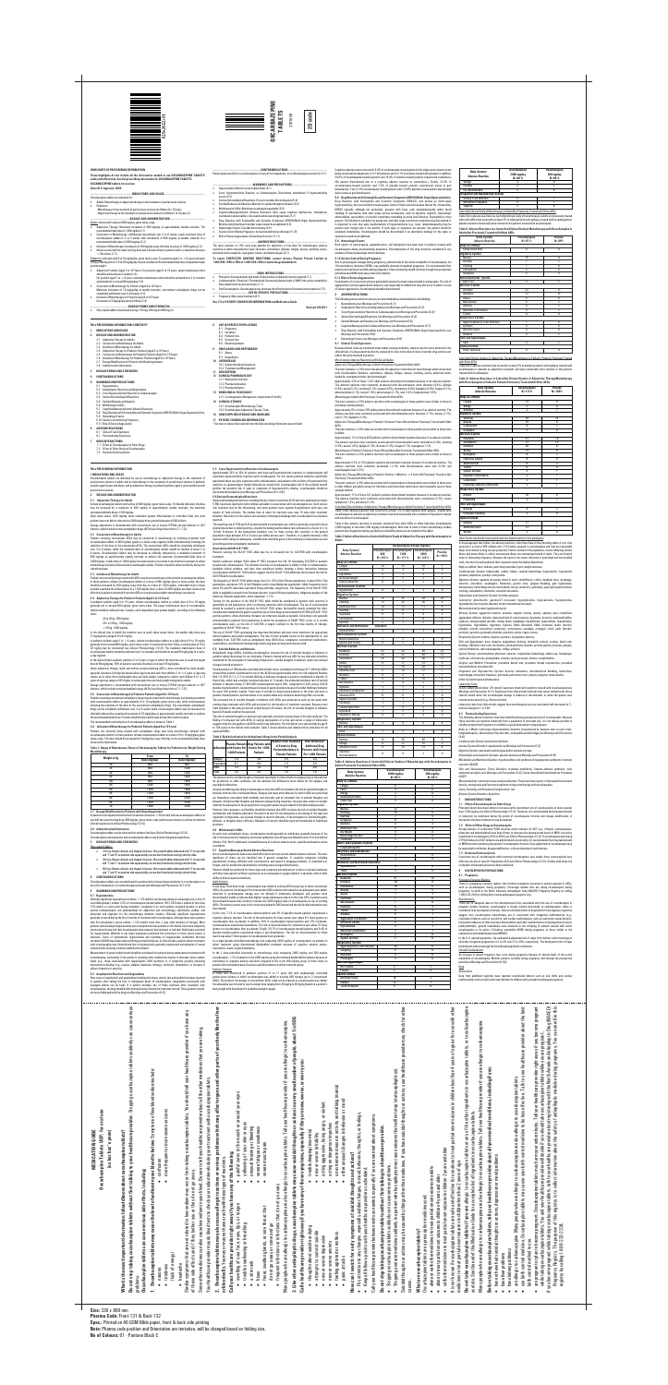**HIGHLIGHTS OF PRESCRIBING INFORMATION**

**These highlights do not include all the information needed to use OXCARBAZEPINE TABLETS safely and effectively. See full prescribing information for OXCARBAZEPINE TABLETS. OXCARBAZEPINE tablets, for oral use**

**Initial U.S. Approval: 2000**

- ----INDICATIONS AND USAGE<sup>..</sup> Oxcarbazepine tablets are indicated for:
- · Adults: Monotherapy or adjunctive therapy in the treatment of partial-onset seizures · Pediatrics:
- .<br>1erapy in the treatment of partial-onset seizures in children 4 to 16 years - Adjunctive therapy in the treatment of partial-onset seizures in children 2 to 16 years (1)
- **-------------------------------------------------------DOSAGE AND ADMINISTRATION-------------------------------------------------**
- Adults: initiate with a dose of 600 mg/day, given twice-a-day
- · Adjunctive Therapy: Maximum increment of 600 mg/day at approximately weekly intervals. The
- recommended daily dose is 1200 mg/day (2.1) · Conversion to Monotherapy: withdrawal concomitant over 3 to 6 weeks; reach maximum dose of oxcarbazepine tablets in 2 to 4 weeks with increments of 600 mg/day at weekly intervals to a
- recommended daily dose of 2400 mg/day (2.2) · Initiation of Monotherapy: Increments of 300 mg/day every third day to a dose of 1200 mg/day (2.3) · Initiate at one-half the usual starting dose and increase slowly in patients with a creatinine clearance
- $<$  30 mL/min, (2.7) Pediatrics: initiation with 8 to 10 mg/kg/day, given twice-a-day. For patients aged 2 to <4 years and under
- 20 kg, a starting dose of 16 to 20 mg/kg/day may be considered. Recommended daily dose is dependent upon
- patient weight. · Adjunctive Patients (Aged 2 to 16 Years): For patients aged 4 to 16 years, target maintenance dose should be achieved over 2 weeks (2.4).<br>For patients aged 2 to  $<$  4 years, maxi  $\tan$  maintenance dose should be achieved over 2 to 4 weeks
- and should not to exceed 60 mg/kg/day (2.4) · Conversion to Monotherapy for Patients (Aged 4 to 16 Years)
- Maximum increment of 10 mg/kg/day at weekly intervals, concomitant antiepileptic drugs can be completely withdrawn over 3 to 6 weeks (2.5)
- · Initiation of Monotherapy for Patients (Aged 4 to 16 Years) Increments of 5 mg/kg/day every third day (2.6)
- **-----------------------------------------------------DOSAGE FORMS AND STRENGTHS-------------------------------------------------**
- · Film-coated tablets (functional scoring): 150 mg, 300 mg and 600 mg (3)

- **1 INDICATIONS AND USAGE**
- **2 DOSAGE AND ADMINISTRATION**
- Adjunctive Therapy for Adults 2.2 Conversion to Monotherapy for Adults
- 
- 2.3 Initiation of Monotherapy for Adults 2.4 Adjunctive Therapy for Pediatric Patients (Aged 2 to 16 Years)
- 2.5 Conversion to Monotherapy for Pediatric Patients (Aged 4 to 16 Years) 2.6 Initiation of Monotherapy for Pediatric Patients (Aged 4 to 16 Years)
- 2.7 Dosage Modification for Patients with Renal Impairment
- 2.8 Administration Information
- **3 DOSAGE FORMS AND STRENGTHS**
- **4 CONTRAINDICATIONS**
- **5 WARNINGS AND PRECAUTIONS**
- 5.1 Hyponatremia 5.2 Anaphylactic Reactions and Angioedema
- 
- 5.3 Cross Hypersensitivity Reaction to Carbamazepine 5.4 Serious Dermatological Reactions
- 5.5 Suicidal Behavior and Ideation 5.6 Withdrawal of AEDs
- 5.7 Cognitive/Neuropsychiatric Adverse Reactions 5.8 Drug Reaction with Eosinophilia and Systemic Symptoms(DRESS)/Multi-Organ Hypersensitivity
- 
- 5.9 Hematologic Events 5.10 Seizure Control During Pregnancy
- 5.11 Risk of Seizure Aggravation **6 ADVERSE REACTIONS**
- 6.1 Clinical Trials Experienc
- 6.2 Postmarketing Experience **7 DRUG INTERACTIONS**
- 7.1 Effect of Oxcarbazepine on Other Drugs
- 7.2 Effect of Other Drugs on Oxcarbazepine
- 7.3 Hormonal Contraceptives
- **FULL PRESCRIBING INFORMATION**
- **1 INDICATIONS AND USAGE** Oxcarbazepine tablets are indicated for use as monotherapy or adjunctive therapy in the treatment of partial-onset seizures in adults and as monotherapy in the treatment of partial-onset seizures in pediatric<br>patients aged 4 years and above, and as adjunctive therapy in pediatric patients aged 2 years and above with

.<br>In Serious Dermatological Reactions: If occurs consider discontinuation ( · Suicidal Behavior and Ideation: Monitor for suicidal thoughts/ behavior (5.5) · Withdrawal of AEDs: Withdraw oxcarbazepine gradually (5.6)

## **FULL PRESCRIBING INFORMATION: CONTENTS\***

 $\cdots$ DRUG INTERACTIONS $\cdots$ · Phenytoin: Increased phenytoin levels. Reduced dose of phenytoin may be required (7.1)

ictive therapy in pediatric patients aged 2 years and above with partial-onset seizures.

o mortpy to: manne<br>epine tablets with a dose of 600 mg/day, given twice-a-day. If clinically indicated, the dose may be increased by a maximum of 600 mg/day at approximately weekly intervals; the maximum

reacce of films in the cacce of the season of the cacce of the cacce of the cacce of the cacce of the cacce of Daily doses above 1200 mg/day show somewhat greater effectiveness in controlled trials, but most **-------------------------------------------------------------------CONTRAINDICATIONS-------------------------------------------------------** Known hypersensitivity to oxcarbazepine or to any of its components, or to eslicarbazepine acetate (4, 5.2)

**--------------------------------------------------------WARNINGS AND PRECAUTIONS-------------------------------------------------**

· Hyponatremia: Monitor serum sodium levels (5.1)

· Cross Hypersensitivity Reaction to Carbamazepine: Discontinue immediately if hypersensitivity

occurs (5.3)

Patients not currently being treated with AEDs may have monotherapy initiated with oxcarbazepine tablets. In these patients, initiate oxcarbazepine tablets at a dose of 600 mg/day (given a twice-a-day); the dose should be increased by 300 mg/day every third day to a dose of 1200 mg/day. Controlled trials in these patients examined the effectiveness of a 1200 mg/day dose; a dose of 2400 mg/day has been shown to be<br>effective in patients converted from other AEDs to oxcarbazepine tablets monotherapy (see above).

· Cognitive/Neuropsychiatric Adverse Reactions: May cause cognitive dysfunction, somnolence, coordination abnormalities. Use caution when operating machinery (5.7) · Drug Reaction with Eosinophilia and Systemic Symptoms (DRESS)/Multi-Organ Hypersensitivity:

Monitor and discontinue if another cause cannot be established (5.8)

· Hematologic Events: Consider discontinuing (5.9)

In pediatric patients aged 4 to 16 years, initiate oxcarbazepine tablets at a daily dose of 8 to 10 mg/kg<br>generally not to exceed 600 mg/day, given twice-a-day. The target maintenance dose of oxcarbazepine<br>tablets should b chart:

· Seizure Control During Pregnancy: Active metabolite may decrease (5.10) · Risk of Seizure Aggravation: Discontinue if occurs. (5.11)

**---------------------------------------------------------------ADVERSE REACTIONS-----------------------------------------------------------** The most common (≥10% more than placebo for adjunctive or low dose for monotherapy) adverse reactions in adults and pediatrics were: dizziness, somnolence, diplopia, fatigue, nausea, vomiting, ataxia,

In pediatric patients aged 2 to  $<$  4 years, initiate oxcarbazepine tablets at a daily dose of 8 to 10 mg/kg generally not to exceed 600 mg/day, given twice-a-day. For patients less than 20 kg, a starting dose of 16 to<br>20 mg/kg may be considered (*see Clinicel Pharmacology (12.3)*J. The maximum maintenance dose of <br>oxc a-day regimen.

Under adjunctive therapy (with and without enzyme-inducing AEDs), when normalized by body weight, apparent clearance (L/hr/kg) decreased when age increased such that children 2 to <4 years of age may require up to twice the oxcarbazepine dose per body weight compared to adults; and children 4 to ≤12<br>years of age may require a 50% higher oxcarbazepine dose per body weight compared to adults.

abnormal vision, headache, nystagmus, tremor, and abnormal gait. (6.1)

**To report SUSPECTED ADVERSE REACTIONS, contact Annora Pharma Private Limited at** 

**1-866-495-1995 or FDA at 1-800-FDA-1088 or www.fda.gov/medwatch.** 

Dose adjustments may be necessary (7.1)

· Oral Contraceptive: Oxcarbazepine may decrease the effectiveness of hormonal contraceptives (7.2) **--------------------------------------------------USE IN SPECIFIC POPULATIONS-------------------------------------------------------**

· Pregnancy: May cause fetal harm (8.1**)**

**8 USE IN SPECIFIC POPULATIONS** 8.1 Pregnancy 8.2 Lactation 8.4 Pediatric Use 8.5 Geriatric Use 8.6 Renal Impairment **9 DRUG ABUSE AND DEPENDENCE** 9.2 Abuse 9.3 Dependence **10 OVERDOSAGE**

10.1 Human Overdose Experience 10.2 Treatment and Management

**11 DESCRIPTION 12 CLINICAL PHARMACOLOGY** 12.1 Mechanism of Action 12.2 Pharmacodynamics 12.3 Pharmacokinetics **13 NONCLINICAL TOXICOLOGY**

13.1 Carcinogenesis, Mutagenesis, Impairment of Fertility

**14 CLINICAL STUDIES**

14.1 Oxcarbazepine Monotherapy Trials 14.2 Oxcarbazepine Adjunctive Therapy Trials **16 HOW SUPPLIED/STORAGE AND HANDLING 17 PATIENT COUNSELING INFORMATION**

\* Sections or subsections omitted from the full prescribing information are not listed

## **2 DOSAGE AND ADMINISTRATION**

**2.1 Adjunctive Therapy for Adults**

 $\frac{1}{100}$  (sodium  $<$  125 mmol/L) can develop during oxcarbazepine use. In the 14 controlled epilepsy studies 2.5% of oxcarbazepine-treated patients (38/1,524) had a sodium of less than<br>125 mmol/L at some point during treatment, compared to no such patients assigned placebo or active<br>control (carbamazep phenytoin and valproate for the monotherapy initiation studies). Clinically significant hyponatremia generally occurred during the first 3 months of treatment with oxcarbazepine, although there were patients who first developed a serum sodium <125 mmol/L more than 1 year after initiation of therapy. Most patients who developed hyponatremia were asymptomatic but patients in the clinical trials were frequently monitored and some had their oxcarbazepine dose reduced, discontinued, or had their fluid intake restricted for hyponatremia. Whether or not these maneuvers prevented the occurrence of more severe events is unknown. Cases of symptomatic hyponatremia and syndrome of inappropriate antidiuretic hormone secretion (SIADH) have been reported during postmarketing use. In clinical trials, patients whose treatment with oxcarbazepine was discontinued due to hyponatremia generally experienced normalization of serum sodium within a few days without additional treatment.

patients were not able to tolerate the 2400 mg/day dose, primarily because of CNS effects. Dosage adjustment is recommended with concomitant use of strong CYP3A4 enzyme inducers or UGT inducers, which include certain antiepileptic drugs (AEDs) [*see Drug Interactions (7.1, 7.2)*].

## **2.2 Conversion to Monotherapy for Adults**

Patients receiving concomitant AEDs may be converted to monotherapy by initiating treatment with oxcarbazepine tablets at 600 mg/day (given in a twice-a-day regimen) while simultaneously initiating the reduction of the dose of the concomitant AEDs. The concomitant AEDs should be completely withdrawn over 3 to 6 weeks, while the maximum dose of oxcarbazepine tablets should be reached in about 2 to 4 weeks. Oxcarbazepine tablets may be increased as clinically indicated by a maximum increment of 600 mg/day at approximately weekly intervals to achieve the maximum recommended daily dose of <br>2400 mg/day. A daily dose of 1200 mg/day has been shown in one study to be effective in patients in whom monotherapy has been initiated with oxcarbazepine tablets. Patients should be observed closely during this transition phase.

### **2.3 Initiation of Monotherapy for Adults**

Human Leukocyte Antigen (HLA) allele B\*1502 increases the risk for developing SJS/TEN in patients treated with carbamazepine. The chemical structure of oxcarbazepine is similar to that of carbamazepine.<br>Available clinical evidence, and data from nonclinical studies showing a direct interaction between<br>oxcarbazepine and SJS/TEN with oxcarbazepine.

# **2.4 Adjunctive Therapy for Pediatric Patients (Aged 2 to 16 Years)**

Testing for the presence of the HLA-B\*1502 allele should be considered in patients with ancestry in genetically at-risk populations, prior to initiating treatment with oxcarbazepine. The use of oxcarbazepine should be avoided in patients positive for HLA-B\*1502 unless the benefits clearly outweigh the risks. Consideration should also be given to avoid the use of other drugs associated with SJS/TEN in HLA-B\*1502 positive patients, when alternative therapies are otherwise equally acceptable. Screening is not generally recommended in patients from populations in which the prevalence of HLAB\*1502 is low, or in current oxcarbazepine users, as the risk of SJS/TEN is largely confined to the first few months of therapy, egardless of HLA B\*1502 status.

- 20 to 29 kg 900 mg/day
- 29.1 to 39 kg 1200 mg/day

>39 kg - 1800 mg/day

In the clinical trial, in which the intention was to reach these target doses, the median daily dose was 31 mg/kg with a range of 6 to 51 mg/kg.

The use of HLA-B\*1502 genotyping has important limitations and must never substitute for appropr clinical vigilance and patient management. The role of other possible factors in the development of, and morbidity from, SJS/TEN, such as antiepileptic drug (AED) dose, compliance, concomitant medications, comorbidities, and the level of dermatologic monitoring have not been well characterized.

In the clinical trial in pediatric patients (2 to 4 years of age) in which the intention was to reach the target dose of 60 mg/kg/day, 50% of patients reached a final dose of at least 55 mg/kg/day.

### Dosage adjustment is recommended with concomitant use of strong CYP3A4 enzyme inducers or UGT inducers, which include certain antiepileptic drugs (AEDs) *[see Drug Interactions (7.1, 7.2)].*

for psychiatric or other conditions, but the absolute risk differences were similar for the epilepsy and isychiatric indica

**2.5 Conversion to Monotherapy for Pediatric Patients (Aged 4 to 16 Years)** ts receiving concomitant antiepileptic drugs may be con with oxcarbazepine tablets at approximately 8 to 10 mg/kg/day given twice-a-day, while simultaneously initiating the reduction of the dose of the concomitant antiepileptic drugs. The concomitant antiepileptic drugs can be completely withdrawn over 3 to 6 weeks while oxcarbazepine tablets may be increased as clinically indicated by a maximum increment of 10 mg/kg/day at approximately weekly intervals to achieve the recommended daily dose. Patients should be observed closely during this transition phase.

> Anyone considering prescribing oxcarbazepine or any other AED must balance the risk of suicidal thoughts or behavior with the risk of untreated illness. Epilepsy and many other illnesses for which AEDs are prescribed are themselves associated with morbidity and mortality and an increased risk of suicidal thoughts and behavior. Should suicidal thoughts and behavior emerge during treatment, the prescriber needs to consider whether the emergence of these symptoms in any given patient may be related to the illness being treated. Patients, their caregivers, and families should be informed that AEDs increase the risk of suicidal thoughts and behavior and should be advised of the need to be alert for the emergence or worsening of the signs and symptoms of depression, any unusual changes in mood or behavior, or the emergence of suicidal thoughts, behavior, or thoughts about self-harm. Behaviors of concern should be reported immediately to healthcare providers.

## The recommended total daily dose of oxcarbazepine tablets is shown in Table 1.

**2.6 Initiation of Monotherapy for Pediatric Patients (Aged 4 to 16 Years)** Patients not currently being treated with antiepileptic drugs may have monotherapy initiated with oxcarbazepine tablets. In these patients, initiate oxcarbazepine tablets at a dose of 8 to 10 mg/kg/day given twice-a-day. The dose should be increased by 5 mg/kg/day every third day to the recommended daily dose should be increased by 5 mg/kg/day every third day to the rec shown in the table below.

**Table 1: Range of Maintenance Doses of Oxcarbazepine Tablets for Pediatrics by Weight During Monotherapy**

> <u>------------------</u><br>In one large, fixed-dose study, oxcarbazepine was added to existing AED therapy (up to three concomitan AEDs). By protocol, the dosage of the concomitant AEDs could not be reduced as oxcarbazepine was added, reduction in oxcarbazepine dosage was not allowed if intolerance developed, and patients were discontinued if unable to tolerate their highest target maintenance doses. In this trial, 65% of patients were discontinued because they could not tolerate the 2400 mg/day dose of oxcarbazepine on top of existing AEDs. The adverse events seen in this study were primarily CNS related and the risk for discontinuation was dose related.

**2.7 Dosage Modification for Patients with Renal Impairment** In patients with impaired renal function (creatinine clearance <30 mL/min) initiate oxcarbazepine tablets at one-half the usual starting dose (300 mg/day, given twice-a-day) and increase slowly to achieve the desired

### clinical response [*see Clinical Pharmacology (12.3)*]. **2.8 Administration Information**

In this trial, 7.1% of oxcarbazepine-treated patients and 4% of placebo-treated patients experienced a cognitive adverse reaction. The risk of discontinuation for these events was about 6.5 times greater on carbazepine than on placebo. In addition, 26% of oxcarbazepine-treated patients and 12% of placebotreated patients experienced somnolence. The risk of discontinuation for somnolence was about 10 times greater on oxcarbazepine than on placebo. Finally, 28.7% of oxcarbazepine-treated patients and 6.4% of placebo-treated patients experienced ataxia or gait disturbances. The risk for discontinuation for these events was about 7 times greater on oxcarbazepine than on placebo.

Oxcarbazepine tablets can be taken with or without food [*see Clinical Pharmacology (12.3)*]. Oxcarbazepine oral suspension and oxcarbazepine tablets may be interchanged at equal doses.

### **3 DOSAGE FORMS AND STRENGTHS**

- Film-coated Tablets:
- · 150 mg: Brown colored, oval shaped, biconvex, film coated tablets debossed with 'V' on one side
- and '7' and '6' on another side separated by a score line (functional scoring) on both side · 300 mg: Brown colored, oval shaped, biconvex, film coated tablets debossed with 'V' on one side
- and '7' and '7' on another side separated by a score line (functional scoring) on both sides. · 600 mg: Brown colored, oval shaped, biconvex, film coated tablets debossed with 'V' on one side
- and '7' and '8' on another side separated by a score line (functional scoring) on both sides. **4 CONTRAINDICATIONS**

**5.8 DrugReactionwithEosinophilia andSystemicSymptoms (DRESS)/Multi-OrganHypersensitivity** Drug Reaction with Eosinophilia and Systemic Symptoms (DRESS), also known as multi-organ hypersensitivity, has occurred with oxcarbazepine. Some of these events have been fatal or life- threatening. DRESS typically, although not exclusively, presents with fever, rash, lymphadenopathy and/or facial swelling, in association with other organ system involvement, such as hepatitis, nephritis, hematologic abnormalities, myocarditis, or myositis sometimes resembling an acute viral infection. Eosinophilia is often present. This disorder is variable in its expression, and other organ systems not noted here may be involved. It is important to note that early manifestations of hypersensitivity (e.g., fever, lymphadenopathy) may be present even though rash is not evident. If such signs or symptoms are present, the patient should be evaluated immediately. Oxcarbazepine should be discontinued if an alternative etiology for the signs or symptoms cannot be establishe

Oxcarbazepine tablets are contraindicated in patients with a known hypersensitivity to oxcarbazepine or to any of its components, or to eslicarbazepine acetate [*see Warnings and Precautions (5.2, 5.3)*]. **5 WARNINGS AND PRECAUTIONS**

**5.1 Hyponatremia**

The most common ( $\geq$  10% more than placebo for adjunctive or low dose for monotherapy) adverse reactions with oxcarbazepine: dizziness, somnolence, diplopia, fatigue, nausea, vomiting, ataxia, abnormal vision,

Measurement of serum sodium levels should be considered for patients during maintenance treatment with pine, particularly if the patient is receiving other medications known to decrease serum sodium levels (e.g., drugs associated with inappropriate ADH secretion) or if symptoms possibly indicating a develop (e.g., nausea, malaise, headache, lethargy, confusion, obtundation, or increase in seizure frequency or severity).

(5.9%), ataxia (5.2%), vomiting (5.1%), nausea (4.9%), somnolence (3.8%), headache (2.9%), fatigue (2.1%), abnormal vision (2.1%), tremor (1.8%), abnormal gait (1.7%), rash (1.4%), hyponatremia (1.0%). *Monotherapy in Adults Not Previously Treated with Other AEDs* The most common ( $\geq$  5%) adverse reactions with oxcarbazepine in these patients were similar to those in

**5.2 Anaphylactic Reactions and Angioedema**

reviously treated pa Approximately 9% of these 295 adult patients discontinued treatment because of an adverse reaction. The

*AEDs* The most common ( $\geq$  5%) adverse reactions with oxcarbazepine in these patients were similar to those seen

in adults. Approximately 11% of these 456 pediatric patients discontinued treatment because of an adv

The adverse reactions most commonly associated with discontinuation were: somnolence (2.4%), vomiting (2.0%), ataxia (1.8%), diplopia (1.3%), dizziness (1.3%), fatigue (1.1%), nystagmus (1.1%). *Monotherapy in Pediatric Patients 4 Years Old and Above Not Previously Treated with Other AEDs* The most common ( $\geq$  5%) adverse reactions with oxcarbazepine in these patients were similar to those in

adults. Approximately 9.2% of 152 pediatric patients discontinued treatment because of an adverse reaction. The adverse reactions most commonly associated ( $\geq$ 1%) with discontinuation were rash (5.3%) and

**5.3 Cross Hypersensitivity Reaction to Carbamazepine**

maculopapular rash (1.3%). *Adjunctive Therapy/Monotherapy in Pediatric Patients 1 Month to <4 Years Old Previously Treated or Not* 

Approximately 25% to 30% of patients who have had hypersensitivity reactions to carbamazepine will experience hypersensitivity reactions with oxcarbazepine. For this reason patients should be specifically questioned about any prior experience with carbamazepine, and patients with a history of hypersensitivity

in older children and adults except for infections and infestations which younger children.

reactions to carbamazepine should ordinarily be treated with oxcarbazepine only if the potential benefit justifies the potential risk. If signs or symptoms of hypersensitivity develop, oxcarbazepine should be discontinued immediately [*see Warnings and Precautions (5.2, 5.8)*]. **5.4 Serious Dermatological Reactions**

Controlled Clinical Study of Monotherapy in Adults Not Previously Treated with Other AEDs Table 5 lists adverse reactions in a controlled clinical study of monotherapy in adults not previously tre

Serious dermatological reactions, including Stevens-Johnson syndrome (SJS) and toxic epidermal necrolysis (TEN), have been reported in both children and adults in association with oxcarbazepine use. Such serious skin reactions may be life threatening, and some patients have required hospitalization with very rare reports of fatal outcome. The median time of onset for reported cases was 19 days after treatment initiation. Recurrence of the serious skin reactions following rechallenge with oxcarbazepine has also been reported.

## · Carbamazepine, Phenytoin, Phenobarbital: Decreased plasma levels of MHD (the active metabolite). period because MHD levels may return after delivery. **5.11 Risk of Seizure Aggravation** Exacerbation of or new onset primary generalized seizures has been reported with oxcarbazepine. The risk of

In the paragraphs that follow, the adverse reactions, other than those in the preceding tables or text, that occurred in a total of 565 children and 1,574 adults exposed to oxcarbazepine and that are reasonably likely to be related to drug use are presented. Events common in the population, events reflecting chronic illness and events likely to reflect concomitant illness are omitted particularly if minor. They are listed in order of decreasing frequency. Because the reports cite events observed in open label and uncontrolled trials, the role of oxcarbazepine in their causation cannot be reliably determined.

The reporting rate of TEN and SJS associated with oxcarbazepine use, which is generally accepted to be an underestimate due to underreporting, exceeds the background incidence rate estimates by a factor of 3- to 10-fold. Estimates of the background incidence rate for these serious skin reactions in the general population range between 0.5 to 6 cases per million-person years. Therefore, if a patient develops a skin reaction while taking oxcarbazepine, consideration should be given to discontinuing oxcarbazepine use and prescribing another antiepileptic medication.

### **Association with HLA-B\*1502**

Patients carrying the HLA-B\*1502 allele may be at increased risk for SJS/TEN with oxcarbazepine treatment.

- **See 17 for PATIENT COUNSELING INFORMATION and Medication Guide**
	- **Revised: 09/2021**
		-
		- · Serious Dermatological Reactions *[see Warnings and Precautions (5.4)]*
		- · Suicidal Behavior and Ideation *[see Warnings and Precautions (5.5)]*
		- · Cognitive/Neuropsychiatric Adverse Reactions *[see Warnings and Precautions (5.7)]* · Drug Reaction with Eosinophilia and Systemic Symptoms (DRESS)/Multi-Organ Hypersensitivity *[see Warnings and Precautions (5.8)]*
		- · Hematologic Events *[see Warnings and Precautions (5.9)]*
		- **6.1 Clinical Trials Experience**

enteritis, eructation, esophagitis, flatulence, gastric ulcer, gingival bleeding, gum hyperplasia,<br>hematemesis, hemorrhage rectum, hemorrhoids, hiccup, mouth dry, pain biliary, pain right hypochondrium, retching, sialoadenitis, stomatitis, stomatitis ulcerative. *Hematologic and Lymphatic System:* thrombocytopenia.

*Nervous System:* aggressive reaction, amnesia, anguish, anxiety, apathy, aphasia, aura, convulsions<br>aggravated, delirium, delusion, depressed level of consciousness, dysphonia, dystonia, emotional lability,<br>euphoria, extr hypokinesia, hyporeflexia, hypotonia, hysteria, libido decreased, libido increased, manic reaction, migraine, muscle contractions involuntary, nervousness, neuralgia, oculogyric crisis, panic disorder, paralysis, paroniria, personality disorder, psychosis, ptosis, stupor, tetany.

*Skin and Appendages:* acne, alopecia, angioedema, bruising, dermatitis contact, eczema, facial rash, flushing, folliculitis, heat rash, hot flushes, photosensitivity reaction, pruritus genital, psoriasis, purpura, matous, rash maculopapular, vitiligo, urticaria.

The frequency of HLA-B\*1502 allele ranges from 2 to 12% in Han Chinese populations, is about 8% in Thai populations, and above 15% in the Philippines and in some Malaysian populations. Allele frequencies up to about 2% and 6% have been reported in Korea and India, respectively. The frequency of the HLA-B\*1502 allele is negligible in people from European descent, several African populations, indigenous peoples of the Americas, Hispanic populations, and in Japanese (<1%).

**5.5 Suicidal Behavior and Ideation**

**7.1 Effect of Oxcarbazepine on Other Drugs**<br>Phenytoin levels have been shown to increase with concomitant use of oxcarbazepine at doses greater<br>than 1200 mg/day /see *Clinical Pharmacology (12.3)*/. Therefore, it is recom of phenytoin be monitored during the period of oxcarbazepine titration and dosage modification. A

Antiepileptic drugs (AEDs), including oxcarbazepine, increase the risk of suicidal thoughts or behavior in patients taking these drugs for any indication. Patients treated with any AED for any indication should be monitored for the emergence or worsening of depression, suicidal thoughts or behavior, and/or any unusual changes in mood or behavior.

> **7.3 Hormonal Contraceptives** Concurrent use of oxcarbazepine with hormonal contraceptives may render these contraceptives less effective*[see Use in Specific Populations (8.3) and Clinical Pharmacology (12.3)]*. Studies with other oral<br>or implant contraceptives have not been conducted.

Pooled analyses of 199 placebo-controlled clinical trials (mono- and adjunctive therapy) of 11 different AEDs showed that patients randomized to one of the AEDs had approximately twice the risk (adjusted Relative Risk 1.8, 95% CI:1.2, 2.7) of suicidal thinking or behavior compared to patients randomized to placebo. In these trials, which had a median treatment duration of 12 weeks, the estimated incidence rate of suicidal behavior or ideation among 27,863 AED-treated patients was 0.43%, compared to 0.24% among 16,029 placebo-treated patients, representing an increase of approximately one case of suicidal thinking or behavior<br>for every 530 patients treated. There were 4 suicides in drug-treated patients in the trials and none in placebo-treated patients, but the number is too small to allow any conclusion about drug effect on suicide.

> There are no adequate data on the developmental risks associated with the use of oxcarbazenine in pregnant women; however, oxcarbazepine is closely related structurally to carbamazepine, which is considered to be teratogenic in humans. Data on a limited number of pregnancies from pregnancy registries suggest that oxcarbazepine monotherapy use is associated with congenital malformations (e.g., craniofacial defects such as oral clefts, and cardiac malformations such as ventricular septal defects). Increased incidences of fetal structural abnormalities and other manifestations of developmental toxicity (embryolethality, growth retardation) were observed in the offspring of animals treated with either oxcarbazepine or its active 10-hydroxy metabolite (MHD) during pregnancy at doses similar to the

The increased risk of suicidal thoughts or behavior with AEDs was observed as early as one week after starting drug treatment with AEDs and persisted for the duration of treatment assessed. Because most trials included in the analysis did not extend beyond 24 weeks, the risk of suicidal thoughts or behavior beyond 24 weeks could not be assessed.

The risk of suicidal thoughts or behavior was generally consistent among drugs in the data analyzed. The finding of increased risk with AEDs of varying mechanisms of action and across a range of indications suggests that the risk applies to all AEDs used for any indication. The risk did not vary substantially by age (5 to 100 years) in the clinical trials analyzed. Table 2 shows absolute and relative risk by indication for all evaluated AEDs.

## **Table 2: Risk by Indication for Antiepileptic Drugs in the Pooled Analysis**

### **5.6 Withdrawal of AEDs**

As with most antiepileptic drugs, oxcarbazepine should generally be withdrawn gradually because of the risk of increased seizure frequency and status epilepticus [*see Dosage and Administration (2.4) and Clinical Studies (14)*]. But if withdrawal is needed because of a serious adverse event, rapid discontinuation can be considered.

### **5.7 Cognitive/Neuropsychiatric Adverse Reactions**

Use of oxcarbazepine has been associated with central nervous system-related adverse reactions. The most significant of these can be classified into 3 general categories: 1) cognitive symptoms including psychomotor slowing, difficulty with concentration, and speech or language problems, 2) somnolence or fatigue, and 3) coordination abnormalities, including ataxia and gait disturbances.

Patients should be monitored for these signs and symptoms and advised not to drive or operate machinery until they have gained sufficient experience on oxcarbazepine to gauge whether it adversely affects their ability to drive or operate machinery.

### Adult Patients

In a single placebo-controlled monotherapy trial evaluating 2400 mg/day of oxcarbazepine, no patients in either treatment group discontinued double-blind treatment because of cognitive adverse events, somnolence, ataxia, or gait disturbance.

In the 2 dose-controlled conversion to monotherapy trials comparing 2400 mg/day and 300 mg/day oxcarbazepine, 1.1% of patients in the 2400 mg/day group discontinued double-blind treatment because of somnolence or cognitive adverse reactions compared to 0% in the 300 mg/day group. In these trials, no patients discontinued because of ataxia or gait disturbances in either treatment group.

A study was conducted in pediatric patients (3 to 17 years old) with inadequately controlled

iatric Patients

Earache Ear Infect **Urogenital** 

Cognitive adverse events occurred in 5.8% of oxcarbazepine-treated patients (the single most common event being concentration impairment, 4 of 138 patients) and in 3.1% of patients treated with placebo. In addition, 34.8% of oxcarbazepine-treated patients and 14.0% of placebo-treated patients experienced somnolence. (No patient discontinued due to a cognitive adverse reaction or somnolence.). Finally, 23.2% of oxcarbazepine-treated patients and 7.0% of placebo-treated patients experienced ataxia or gait disturbances. Two (1.4%) oxcarbazepine-treated patients and 1 (0.8%) placebo-treated patient discontinued due to ataxia or gait disturbances.

# **5.9 Hematologic Events**

Rare reports of pancytopenia, agranulocytosis, and leukopenia have been seen in patients treated with oxcarbazepine during postmarketing experience. Discontinuation of the drug should be considered if any evidence of these hematologic events develops.

## **5.10 Seizure Control During Pregnancy**

Due to physiological changes during pregnancy, plasma levels of the active metabolite of oxcarbazepine, the 10-monohydroxy derivative (MHD), may gradually decrease throughout pregnancy. It is recommended that patients be monitored carefully during pregnancy. Close monitoring should continue through the postpartum

aggravation of primary generalized seizures is seen especially in children but may also occur in adults. In case of seizure aggravation, oxcarbazepine should be discontinued.

### **6 ADVERSE REACTIONS**

The following serious adverse reactions are described below and elsewhere in the labeling:

- 
- · Hyponatremia *[see Warnings and Precautions (5.1)]*
- · Anaphylactic Reactions and Angioedema *[see Warnings and Precautions (5.2)]*
- · Cross Hypersensitivity Reaction to Carbamazepine *[see Warnings and Precautions (5.3)]*

Because clinical trials are conducted under widely varying conditions, adverse reaction rates observed in the clinical trials of a drug cannot be directly compared to rates in the clinical trials of another drug and may not reflect the rates observed in practice.

Most Common Adverse Reactions in All Clinical Studies

*Adjunctive Therapy/Monotherapy in Adults Previously Treated with Other AEDs*

headache, nystagmus tremor, and abnormal gait. Approximately 23% of these 1,537 adult patients discontinued treatment because of an adverse rea The adverse reactions most commonly associated with discontinuation were: dizziness (6.4%), diplopia

adverse reactions most commonly associated with discontinuation were: dizziness (1.7%), nausea (1.7%), rash (1.7%), headache (1.4%). *Adjunctive Therapy/Monotherapy in Pediatric Patients 4 Years Old and Above Previously Treated with Other* 

*Previously Treated with Other AEDs:*

The most common ( $\geq$  5%) adverse reactions with oxcarbazepine in these patients were similar to those seen

|                                                                                                                        | <b>Placebo Patients Drug Patients with</b><br>Indication with Events Per<br>Events Per 1.000<br>1.000 Patients<br><b>Patients</b> |     | <b>Relative Risk: Incidencel</b><br>of Events in Drug<br>Patients/Incidence in<br><b>Placebo Patients</b> | <b>Risk Difference:</b><br><b>Additional Drug</b><br><b>Patients with Events</b><br>Per 1.000 Patients |  |  |  |  |  |
|------------------------------------------------------------------------------------------------------------------------|-----------------------------------------------------------------------------------------------------------------------------------|-----|-----------------------------------------------------------------------------------------------------------|--------------------------------------------------------------------------------------------------------|--|--|--|--|--|
| Epilepsy                                                                                                               | 1.0                                                                                                                               | 3.4 | 3.5                                                                                                       | 2.4                                                                                                    |  |  |  |  |  |
| Psychiatric                                                                                                            | 5.7                                                                                                                               | 8.5 | 1.5                                                                                                       | 2.9                                                                                                    |  |  |  |  |  |
| Other                                                                                                                  | 1.0                                                                                                                               | 1.8 | 1.9                                                                                                       | 0.9                                                                                                    |  |  |  |  |  |
| Total                                                                                                                  | 2.4                                                                                                                               | 4.3 | 1.8                                                                                                       | 1.9                                                                                                    |  |  |  |  |  |
| The relative risk for suicidal thoughts or behavior was higher in clinical trials for epilepsy than in clinical trials |                                                                                                                                   |     |                                                                                                           |                                                                                                        |  |  |  |  |  |

Approximately 11% of these 241 pediatric patients discontinued treatment because of an adverse reaction. The adverse reactions most commonly associated with discontinuation were: convulsions (3.7%), status epilepticus (1.2%), and ataxia (1.2%).

Controlled Clinical Studies of Adjunctive Therapy/Monotherapy in Adults Previously Treated with Other AEDs Table 3 lists adverse reactions that occurred in at least 2% of adult patients with epilepsy, treated with oxcarbazepine or placebo as adjunctive treatment and were numerically more common in the patients treated with any dose of oxcarbazepine.

Table 4 lists adverse reactions in patients converted from other AEDs to either high-dose oxcarbazepine (2400 mg/day) or low-dose (300 mg/day) oxcarbazepine. Note that in some of these monotherapy studies patients who dropped out during a preliminary tolerability phase are not included in the tables.

**Table 3:AdverseReactions in aControlledClinicalStudy ofAdjunctiveTherapywithOxcarbazepine in Adults**

**Table 4: Adverse Reactions in Controlled Clinical Studies of Monotherapy with Oxcarbazepine in** 

with other AEDs that occurred in at least 2% of adult patients with epilepsy treated with oxcarbazepine or placebo and were numerically more common in the patients treated with oxcarbazepine.

# **Table 5: Adverse Reactions in a Controlled Clinical Study of Monotherapy with Oxcarbazepine in Adults Not Previously Treated with Other AEDs**

### Controlled Clinical Studies of Adjunctive Therapy/Monotherapy in Pediatric Patients Previously Treated with Other AEDs

Table 6 lists adverse reactions that occurred in at least 2% of pediatric patients with epilepsy treated with oxcarbazepine or placebo as adjunctive treatment and were numerically more common in the patients treated with oxcarbazepine.

# **Table 6: Adverse Reactions in Controlled Clinical Studies of Adjunctive Therapy/Monotherapy**

*Body as a Whole:* fever, malaise, pain chest precordial, rigors, weight decrease.

*Cardiovascular System:* bradycardia, cardiac failure, cerebral hemorrhage, hypertension, hypotension postural, palpitation, syncope, tachycardia.

*Digestive System:* appetite increased, blood in stool, cholelithiasis, colitis, duodenal ulcer, dysphagia,

*Laboratory Abnormality:* gamma-GT increased, hyperglycemia, hypocalcemia, hypoglycemia, hypokalemia, liver enzymes elevated, serum transaminase in *Musculoskeletal System:* hypertonia muscle.

*Respiratory System:* asthma, dyspnea, epistaxis, laryngismus, pleurisy.

*Special Senses:* accommodation abnormal, cataract, conjunctival hemorrhage, edema eye, hemianopia,

mydriasis, otitis externa, photophobia, scotoma, taste perversion, tinnitus, xerophthalmia. *Surgical and Medical Procedures:* procedure dental oral, procedure female reproductive, procedure musculoskeletal, procedure skin.

*Urogenital and Reproductive System:* dysuria, hematuria, intermenstrual bleeding, leukorrhea, menorrhagia, micturition frequency, pain renal, pain urinary tract, polyuria, priapism, renal calculus. *Other:* Systemic lupus erythematosus.

Laboratory Tests Serum sodium levels below 125 mmol/L have been observed in patients treated with oxcarbazepine [*see Warnings and Precautions (5.1)*]. Experience from clinical trials indicates that serum sodium levels return toward normal when the oxcarbazepine dosage is reduced or discontinued, or when the patient was treated conservatively (e.g., fluid restriction).

Laboratory data from clinical trials suggest that oxcarbazepine use was associated with decreases in T $_{\rm v}$ without changes in  $T_3$  or TSH

### **6.2 Postmarketing Experience**

The following adverse reactions have been identified during postapproval use of oxcarbazepine. Because these reactions are reported voluntarily from a population of uncertain size, it is not always possible to reliably estimate their frequency or establish a causal relationship to drug exposure.

*Body as a Whole:* multi-organ hypersensitivity disorders characterized by features such as rash, fever, lymphadenopathy, abnormal liver function tests, eosinophilia and arthralgia [*see Warnings and Precautions* 

*(5.8)*] *Cardiovascular System:* atrioventricular block

*Immune System Disorders:* anaphylaxis [*see Warnings and Precautions (5.2)*] *Digestive System:* pancreatitis and/or lipase and/or amylase increase

*Hematologic and Lymphatic Systems:* aplastic anemia [*see Warnings and Precautions (5.9)*] *Metabolism and Nutrition Disorders:* hypothyroidism and syndrome of inappropriate antidiuretic hormone

secretion (SIADH)

*Skin and Subcutaneous Tissue Disorders:* erythema multiforme, Stevens-Johnson syndrome, toxic epidermal necrolysis [*see Warnings and Precautions (5.4)*], Acute Generalized Exanthematous Pustulosis

(AGEP)

*Musculoskeletal, connective tissue and bone disorders:* There have been reports of decreased bone mineral

density, osteoporosis and fractures in patients on long-term therapy with oxcarbazepine.

| <b>Body System/</b><br><b>Adverse Reaction</b> | <b>Oxcarbazepine</b><br>$N = 171%$ | Placebo<br>$N = 139%$ |  |  |
|------------------------------------------------|------------------------------------|-----------------------|--|--|
| <b>Body as a Whole</b>                         |                                    |                       |  |  |
| Fatigue                                        | 13                                 | 9                     |  |  |
| Allergy                                        | $\overline{2}$                     | 0                     |  |  |
| Asthenia                                       | $\overline{2}$                     | 1                     |  |  |
| <b>Digestive System</b>                        |                                    |                       |  |  |
| Vomiting                                       | 33                                 | 14                    |  |  |
| Nausea                                         | 19                                 | 5                     |  |  |
| Constipation                                   | 4                                  | 1                     |  |  |
| Dyspepsia                                      | $\overline{2}$                     | 0                     |  |  |
| <b>Nervous System</b>                          |                                    |                       |  |  |
| Headache                                       | 31                                 | 19                    |  |  |
| Somnolence                                     | 31                                 | 13                    |  |  |
| <b>Dizziness</b>                               | 28                                 | 8                     |  |  |
| Ataxia                                         | 13                                 | 4                     |  |  |
| Nystagmus                                      | 9                                  | 1                     |  |  |
| <b>Emotional Lability</b>                      | 8                                  | 4                     |  |  |
| <b>Abnormal Gait</b>                           | 8                                  | 3                     |  |  |
| Tremor                                         | 6                                  | 4                     |  |  |
| <b>Speech Disorder</b>                         | 3                                  | 1                     |  |  |
| <b>Impaired Concentration</b>                  | $\overline{2}$                     | 1                     |  |  |
| Convulsions                                    | $\overline{2}$                     | 1                     |  |  |
| <b>Involuntary Muscle Contractions</b>         | $\overline{2}$                     | 1                     |  |  |
| <b>Respiratory System</b>                      |                                    |                       |  |  |
| <b>Rhinitis</b>                                | 10                                 | 9                     |  |  |
| Pneumonia                                      | $\overline{2}$                     | 1                     |  |  |
| <b>Skin and Appendages</b>                     |                                    |                       |  |  |
| <b>Bruising</b>                                | 4                                  | $\overline{2}$        |  |  |
| <b>Increased Sweating</b>                      | 3                                  | 0                     |  |  |
| <b>Special Senses</b>                          |                                    |                       |  |  |
| Diplopia                                       | 17                                 | 1                     |  |  |
| <b>Ahnormal Vision</b>                         | 13                                 | 1                     |  |  |

*Injury, Poisoning, and Procedural Complications:* fall *Nervous System Disorders:* dysarthria **7 DRUG INTERACTIONS**

decrease in the dose of phenytoin may be required*.* **7.2 Effect of Other Drugs on Oxcarbazepine** 

Strong inducers of cytochrome P450 enzymes and/or inducers of UGT (e.g., rifampin, carbamazepine, phenytoin and phenobarbital) have been shown to decrease the plasma/serum levels of MHD, the active metabolite of oxcarbazepine (25% to 49%) *[see Clinical Pharmacology (12.3)].* If oxcarbazepine and strong CYP3A4 inducers or UGT inducers are administered concurrently, it is recommended that the plasma levels of MHD be monitored during the period of oxcarbazepine titration. Dose adjustment of oxcarbazepine may

be required after initiation, dosage modification, or discontinuation of such inducers.

**8 USE IN SPECIFIC POPULATIONS**

**8.1 Pregnancy** Pregnancy Exposure Registry

There is a pregnancy exposure registry that monitors pregnancy outcomes in women exposed to AEDs, such as oxcarbazepine, during pregnancy. Encourage women who are taking oxcarbazepine during pregnancy to enroll in the North American Antiepileptic Drug (NAAED) Pregnancy Registry by calling

1-888-233-2334 or visiting http://www.aedpregnancyregistry.org/.

nded human dose (MRHD).

Risk Summary

In the U.S. general population, the estimated background risk of major birth defects and miscarriage in clinically recognized pregnancies is 2 to 4% and 15 to 20%, respectively. The background risk of major birth defects and miscarriage for the indicated population is unknown.

Clinical Considerations

An increase in seizure frequency may occur during pregnancy because of altered levels of the active metabolite of oxcarbazepine. Monitor patients carefully during pregnancy and through the postpartum period [*see Warnings and Precautions (5.10)*]*.*

Data from published registries have reported craniofacial defects such as oral clefts and cardia

Data *Human Data*

| <b>Body System/</b><br><b>Adverse Reaction</b> | <b>Oxcarbazepine</b><br>2400 mg/day<br>$N = 86%$ | <b>Oxcarbazepine</b><br>300 mg/day<br>$N = 86%$ |  |  |
|------------------------------------------------|--------------------------------------------------|-------------------------------------------------|--|--|
| <b>Body as a Whole</b>                         |                                                  |                                                 |  |  |
| Fatigue                                        | 21                                               | 5                                               |  |  |
| Fever                                          | 3                                                | 0                                               |  |  |
| Allergy                                        | $\overline{2}$                                   | 0                                               |  |  |
| <b>Generalized Edema</b>                       | 2                                                | 1                                               |  |  |
| <b>Chest Pain</b>                              | $\overline{2}$                                   | 0                                               |  |  |
| <b>Digestive System</b>                        |                                                  |                                                 |  |  |
| Nausea                                         | 22                                               | $\overline{7}$                                  |  |  |
| Vomiting                                       | 15                                               | 5                                               |  |  |
| Diarrhea                                       | 7                                                | 5                                               |  |  |
| <b>Dyspepsia</b>                               | 6                                                | 1                                               |  |  |
| Anorexia                                       | 5                                                | 3                                               |  |  |
| <b>Abdominal Pain</b>                          | 5                                                | 3                                               |  |  |
| Dry Mouth                                      | 3                                                | 0                                               |  |  |
| <b>Hemorrhage Rectum</b>                       | $\overline{2}$                                   | 0                                               |  |  |
| Toothache                                      | $\overline{2}$                                   | 1                                               |  |  |
| <b>Hemic and Lymphatic System</b>              |                                                  |                                                 |  |  |
| Lymphadenopathy                                | $\overline{2}$                                   | 0                                               |  |  |
| <b>Infections and Infestations</b>             |                                                  |                                                 |  |  |
| <b>Viral Infection</b>                         | 7                                                | 5                                               |  |  |
| Infection                                      | $\overline{2}$                                   | 0                                               |  |  |
| <b>Metabolic and Nutritional Disorders</b>     |                                                  |                                                 |  |  |
| Hyponatremia                                   | 5                                                | 0                                               |  |  |
| Thirst                                         | $\overline{2}$                                   | 0                                               |  |  |
| <b>Nervous System</b>                          |                                                  |                                                 |  |  |
| Headache                                       | 31                                               | 15                                              |  |  |
| <b>Dizziness</b>                               | 28                                               | 8                                               |  |  |
| Somnolence                                     | 19                                               | 5                                               |  |  |
| Anxiety                                        | 7                                                | 5                                               |  |  |
| Ataxia                                         | $\overline{7}$                                   | 1                                               |  |  |
| Confusion                                      | 7                                                | 0                                               |  |  |
| Nervousness                                    | 7                                                | 0                                               |  |  |
| Insomnia                                       | 6                                                | 3                                               |  |  |
| Tremor                                         | 6                                                | 3                                               |  |  |
| Amnesia                                        | 5                                                | 1                                               |  |  |
| <b>Aggravated Convulsions</b>                  | 5                                                | $\overline{2}$                                  |  |  |
| <b>Emotional Lability</b>                      | 3                                                | $\overline{2}$                                  |  |  |
| Hypoesthesia                                   | 3                                                | 1                                               |  |  |
| <b>Abnormal Coordination</b>                   |                                                  |                                                 |  |  |
|                                                | 2                                                | 1                                               |  |  |
| <b>Nystagmus</b>                               | 2                                                | 0                                               |  |  |
| <b>Speech Disorder</b>                         | 2                                                | 0                                               |  |  |
| <b>Respiratory System</b>                      |                                                  |                                                 |  |  |
| <b>Upper Respiratory Tract Infection</b>       | 10                                               | 5                                               |  |  |
| Coughing                                       | 5                                                | 0                                               |  |  |
| <b>Bronchitis</b>                              | 3                                                | 0                                               |  |  |
| Pharyngitis                                    | 3                                                | 0                                               |  |  |
| <b>Skin and Appendages</b>                     |                                                  |                                                 |  |  |
| <b>Hot Flushes</b>                             | $\overline{2}$                                   | 1                                               |  |  |

| <b>Body System/</b>                      | <b>Oxcarbazepine</b> | Placebo                 |
|------------------------------------------|----------------------|-------------------------|
| <b>Adverse Reaction</b>                  | $N = 55%$            | $N = 49%$               |
| <b>Body as a Whole</b>                   |                      |                         |
| <b>Falling Down NOS</b>                  | 4                    | 0                       |
| <b>Digestive System</b>                  |                      |                         |
| Nausea                                   | 16                   | 12                      |
| Diarrhea                                 | $\overline{7}$       | $\overline{2}$          |
| Vomiting                                 | $\overline{7}$       | 6                       |
| Constipation                             | 5                    | U                       |
| Dyspepsia                                | 5                    | 4                       |
| Musculoskeletal System                   |                      |                         |
| <b>Back Pain</b>                         | 4                    | $\overline{2}$          |
| <b>Nervous System</b>                    |                      |                         |
| <b>Dizziness</b>                         | 22                   | 6                       |
| Headache                                 | 13                   | 10                      |
| Ataxia                                   | 5                    | 0                       |
| <b>Nervousness</b>                       | $\overline{5}$       | $\overline{2}$          |
| Amnesia                                  | 4                    | $\overline{2}$          |
| <b>Abnormal Coordination</b>             | 4                    | $\overline{2}$          |
| Tremor                                   | 4                    | 0                       |
| <b>Respiratory System</b>                |                      |                         |
| <b>Upper Respiratory Tract Infection</b> | $\overline{7}$       | 0                       |
| Epistaxis                                | 4                    | $\overline{\mathsf{n}}$ |
| <b>Infection Chest</b>                   | 4                    | 0                       |
| <b>Sinusitis</b>                         | 4                    | $\overline{2}$          |
| <b>Skin and Appendages</b>               |                      |                         |
| Rash                                     | 4                    | $\overline{2}$          |
| <b>Special Senses</b>                    |                      |                         |
| <b>Vision Abnormal</b>                   | 4                    | 0                       |

Vertigo 2 0

| Weight in kg | From          | To<br>Dose (mg/day) |  |  |
|--------------|---------------|---------------------|--|--|
|              | Dose (mg/day) |                     |  |  |
| 20           | 600           | 900                 |  |  |
| 25           | 900           | 1200                |  |  |
| 30           | 900           | 1200                |  |  |
| 35           | 900           | 1500                |  |  |
| 40           | 900           | 1500                |  |  |
| 45           | 1200          | 1500                |  |  |
| 50           | 1200          | 1800                |  |  |
| 55           | 1200          | 1800                |  |  |
| 60           | 1200          | 2100                |  |  |
| 65           | 1200          | 2100                |  |  |
| 70           | 1500          | 2100                |  |  |

|                                  | Oxcarbazepine Dosage (mg/day) |                      |                      |                |  |  |  |  |
|----------------------------------|-------------------------------|----------------------|----------------------|----------------|--|--|--|--|
| <b>Body System/</b>              | <b>Oxcarbazepine</b>          | <b>Oxcarbazepine</b> | <b>Oxcarbazepine</b> | Placebo        |  |  |  |  |
| <b>Adverse Reaction</b>          | 600                           | 1200                 | 2400                 | $N = 166%$     |  |  |  |  |
|                                  | $N = 163%$                    | $N = 171%$           | $N = 126%$           |                |  |  |  |  |
| Body as a Whole                  |                               |                      |                      |                |  |  |  |  |
| Fatigue                          | 15                            | 12                   | 15                   | $\overline{7}$ |  |  |  |  |
| Asthenia                         | 6                             | 3                    | 6                    | 5              |  |  |  |  |
| Leg Edema                        | $\overline{2}$                | 1                    | $\overline{2}$       | 1              |  |  |  |  |
| <b>Increased Weight</b>          | 1                             | $\overline{2}$       | $\overline{2}$       | 1              |  |  |  |  |
| <b>Feeling Abnormal</b>          | 0                             | 1                    | $\overline{2}$       | 0              |  |  |  |  |
| Cardiovascular System            |                               |                      |                      |                |  |  |  |  |
| Hypotension                      | 0                             | 1                    | $\overline{2}$       | 0              |  |  |  |  |
| <b>Digestive System</b>          |                               |                      |                      |                |  |  |  |  |
| Nausea                           | 15                            | 25                   | 29                   | 10             |  |  |  |  |
| Vomitina                         | 13                            | 25                   | 36                   | 5              |  |  |  |  |
| <b>Abdominal Pain</b>            | 10                            | 13                   | 11                   | 5              |  |  |  |  |
| <b>Diarrhea</b>                  | 5                             | 6                    | $\overline{7}$       | 6              |  |  |  |  |
| Dyspepsia                        | 5                             | 5                    | 6                    | $\overline{2}$ |  |  |  |  |
| Constipation                     | $\overline{2}$                | $\overline{2}$       | 6                    | 4              |  |  |  |  |
| Gastritis                        | $\overline{2}$                | 1                    | $\overline{2}$       | 1              |  |  |  |  |
| <b>Metabolic and Nutritional</b> | <b>Disorders</b>              |                      |                      |                |  |  |  |  |
| Hyponatremia                     | 3                             | 1                    | $\overline{2}$       | 1              |  |  |  |  |
| Musculoskeletal System           |                               |                      |                      |                |  |  |  |  |
| <b>Muscle Weakness</b>           | 1                             | $\overline{2}$       | $\overline{2}$       | 0              |  |  |  |  |
| <b>Sprains and Strains</b>       | 0                             | $\overline{2}$       | $\overline{2}$       | 1              |  |  |  |  |
| Nervous System                   |                               |                      |                      |                |  |  |  |  |
| Headache                         | 32                            | 28                   | 26                   | 23             |  |  |  |  |
| <b>Dizziness</b>                 | 26                            | 32                   | 49                   | 13             |  |  |  |  |
| Somnolence                       | 20                            | 28                   | 36                   | 12             |  |  |  |  |
|                                  | 9                             |                      | 31                   |                |  |  |  |  |
| Ataxia                           |                               | 17                   |                      | 5              |  |  |  |  |
| Nystagmus                        | 7                             | 20                   | 26                   | 5              |  |  |  |  |
| <b>Abnormal Gait</b>             | 5                             | 10                   | 17                   | $\mathbf{1}$   |  |  |  |  |
| Insomnia                         | 4                             | $\overline{2}$       | 3                    | 1              |  |  |  |  |
| Tremor                           | 3                             | 8                    | 16                   | 5              |  |  |  |  |
| Nervousness                      | $\overline{2}$                | 4                    | $\overline{2}$       | 1              |  |  |  |  |
| Agitation                        | 1                             | 1                    | $\overline{2}$       | 1              |  |  |  |  |
| <b>Abnormal Coordination</b>     | 1                             | 3                    | $\overline{2}$       | 1              |  |  |  |  |
| <b>Abnormal EEG</b>              | 0                             | 0                    | $\overline{2}$       | $\overline{0}$ |  |  |  |  |
| <b>Speech Disorder</b>           | 1                             | 1                    | 3                    | 0              |  |  |  |  |
| Confusion                        | 1                             | $\mathbf{1}$         | $\overline{2}$       | 1              |  |  |  |  |
| <b>Cranial Injury NOS</b>        | 1                             | 0                    | $\overline{2}$       | $\mathbf{1}$   |  |  |  |  |
| Dysmetria                        | 1                             | $\overline{2}$       | 3                    | 0              |  |  |  |  |
| <b>Abnormal Thinking</b>         | 0                             | $\overline{2}$       | 4                    | 0              |  |  |  |  |
| <b>Respiratory System</b>        |                               |                      |                      |                |  |  |  |  |
| <b>Rhinitis</b>                  | $\overline{2}$                | 4                    | 5                    | 4              |  |  |  |  |
| <b>Skin and Appendages</b>       |                               |                      |                      |                |  |  |  |  |
| Acne                             | 1                             | $\overline{2}$       | $\overline{2}$       | 0              |  |  |  |  |
| <b>Special Senses</b>            |                               |                      |                      |                |  |  |  |  |
| Diplopia                         | 14                            | 30                   | 40                   | 5              |  |  |  |  |
| Vertigo                          | 6                             | 12                   | 15                   | $\overline{2}$ |  |  |  |  |
| <b>Abnormal Vision</b>           | 6                             | 14                   | 13                   | 4              |  |  |  |  |
| Abnormal                         |                               |                      |                      |                |  |  |  |  |
|                                  | 0                             | 0                    | $\overline{2}$       | 0              |  |  |  |  |

**Special Senses** Abnormal Vision partial-onset seizures in which oxcarbazepine was added to existing AED therapy (up to 2 concomitan Rare cases of anaphylaxis and angioedema involving the larynx, glottis, lips and eyelids have been reported<br>in patients after taking the first or subsequent doses of oxcarbazepine. Angioedema associated with<br>laryngeal ed malformations such as ventricular septal defects in children with prenatal oxcarbazepine exposure. 14 2 AEDs). By protocol, the dosage of concomitant AEDs could not be reduced as oxcarbazepine was added. Oxcarbazepine was titrated to reach a target dose ranging from 30 mg/kg to 46 mg/kg (based on a patient's Diplopia Taste Perversion 12 1 5 0 body weight with fixed doses for predefined weight ranges). not be rechallenged with the drug [*see Warnings and Precautions(5.3)*]. Do not stop taking oxcarbazepine tablets without first talking to your healthcare provider. Stopping oxcarbazepine tablets suddenly can cause serious **Do not stop taking oxcarbazepine tablets without first talking to your healthcare provider.** Stopping oxcarbazepine tablets suddenly can cause serious **2**. **Oxcarbazepine tablets may also cause allergic reactions or serious problems which may affect organs and other parts of your body like the liver**  Suicidal thoughts or actions may be caused by things other than medicines. If you have suicidal thoughts or actions, your healthcare provider may check for other It is not known if oxcarbazepine tablets are safe and effective for use alone to treat partial-onset seizures in children less than 4 years of age or for use with other<br>medicines to treat partial-onset seizures in children It is not known if oxcarbazepine tablets are safe and effective for use alone to treat partial-onset seizures in children less than 4 years of age **or** for use with other **Do not take oxcarbazepine tablets if you are** allergic to oxcarbazepine tablets or any of the other ingredients in oxcarbazepine tablets, or to eslicarbazepine use birth control medicine. Oxcarbazepine tablets may cause your birth control medicine to be less effective. Talk to your healthcare provider about the best are pregnant or plan to become pregnant. Oxcarbazepine tablets may harm your unborn baby. Tell your healthcare provider right away if you become pregnant If you become pregnant while taking oxcarbazepine tablets, talk to your healthcare provider about registering with the North American Antiepileptic Drug (NAAED) Pregnancy Registry. The purpose of this registry is to collect information about the safety of antiepileptic medicine during pregnancy. You can enroll in this Suicidal thoughts or actions may be caused by things other than medicines. If you have suicidal thoughts or actions, your healthcare provider may check for other **Do not take oxcarbazepine tablets if you are** allergic to oxcarbazepine tablets or any of the other ingredients in oxcarbazepine tablets, or to eslicarbazepine<br>acetate. See the end of this Medication Guide for a complete are allergic to carbamazepine. Many people who are allergic to carbamazepine are also allergic to oxcarbazepine tablets.<br>use birth control medicine. Oxcarbazepine tablets may cause your birth control medicine to be less ef Oxcarbazepine tablets may also cause allergic reactions or serious problems which may affect organs and other parts of your body like the liver Similar symptoms that are not related to low sodium may occur from taking oxcarbazepine tablets. You should tell your healthcare provider if you have any any 3. Like other antiepileptic drugs, oxcarbazepine tablets may cause suicidal thoughts or actions in a very small number of people, about 1 in 500. **3**. **Like other antiepileptic drugs, oxcarbazepine tabletsmay cause suicidal thoughts or actions in a very small number of people, about 1 in 500.** occur from taking oxcarbazepine tablets. You should tell your healthcare provider if you have Many people who are allergic to carbamazepine are also allergic to oxcarbazepine tablets. Tell your healthcare provider if you are allergic to carbamazepine. Many people who are allergic to carbamazepine are also allergic to oxcarbazepine tablets. Tell your healthcare provider if you are allergic to carbamazepine. Many people who are allergic to carbamazepine are also allergic to oxcarbazepine tablets. Tell your healthcare provider if you are allergic to carbamazepine. Many people who are allergic to carbamazepine are also allergic to oxcarbazepine tablets. Tell your healthcare provider if you are allergic to carbamazepine. Some other medicines can also cause low sodium in your blood. Be sure to tell your healthcare provider about all the other medicines that you are taking. Some other medicines can also cause low sodium in your blood. Be sure to tell your healthcare provider about all the other medicines that you are taking. while taking oxcarbazepine tablets. You and your healthcare provider will decide if you should take oxcarbazepine tablets while you are pregnant. Call a healthcare provider right away if you have any of these symptoms, especially if they are new, worse, or worry you: **Call a healthcare provider right away if you have any of these symptoms, especially if they are new, worse, or worry you:** Before taking oxcarbazepine tablets, tell your healthcare provider about all your medical conditions, including if you: Stopping oxcarbazepine tablets suddenly can cause serious problems.<br>Stopping a seizure medicine suddenly in a patient who has epilepsy may cause seizures that will not stop (status epilepticus). **Before taking oxcarbazepine tablets, tell your healthcare provider about all your medical conditions, including if you:** Oxcarbazepine tablets may cause the level of sodium in your blood to be low. Symptoms of low blood sodium include: Stopping a seizure medicine suddenly in a patient who has epilepsy may cause seizures that will not stop (status epilepticus). **1**. **Oxcarbazepine tablets may cause the level of sodium in your blood to be low**. Symptoms of low blood sodium include: are allergic to carbamazepine. Many people who are allergic to carbamazepine are also allergic to oxcarbazepine tablets. Your healthcare provider may do blood tests to check your sodiumlevels during your treatment with oxcarbazepine tablets. Your healthcare provider may do blood tests to check your sodium levels during your treatment with oxcarbazepine tablets. acting on dangerous impulses<br>an extreme increase in activity and talking (mania)<br>other unusual changes in behavior or mood  $\bullet\quad$  feeling agitated or restless  $\bullet\quad$  an extreme increase in activity and talking (mania) • painful sores in the mouth or around your eyes  $\bullet$  swelling of your face, eyes, lips, or tongue  $\bullet$  painful sores in the mouth or around your eyes  $\bullet\;$  panic attacks  $\;\bullet\;$  other unusual changes in behavior or mood new or worse irritability<br>acting aggressive, being angry, or violent new or worse depression · acting aggressive, being angry, or violent oral use ● confusion<br>● more frequent or more severe seizures  $\bullet$  tiredness  $\bullet$  more frequent or more frequent or more severe seizures **Oxcarbazepine Tablets USP, for oral use** acetate. See the end of this Medication Guide for a complete list of ingredients in oxcarbazepine tablets. Pay attention to any changes, especially sudden changes, in mood, behaviors, thoughts, or feelings. Call your healthcare provider between visits as needed, especially if you are worried about symptoms. Call your healthcare provider between visits as needed, especially if you are worried about symptoms. yellowing of your skin or eyes<br>unusual bruising or bleeding  $\bullet$  trouble swallowing or breathing  $\bullet$   $\bullet$  yellowing of your skin or eyes  $\bullet$  new or worse anxiety  $\bullet$  acting on dangerous impulses Do not stop taking oxcarbazepine tablets without first talking to a healthcare provider. **Do not stop taking oxcarbazepine tabletswithout first talking to a healthcare provider.** MEDICATION GUIDE<br>Oxcarbazepine Tablets USP, for  $\bullet$  a skin rash  $\bullet$  a skin rash  $\bullet$ severe fatigue or weakness  $\bullet\quad$  hives  $\bullet\quad$  severe fatigue or weakness • trouble sleeping (insomnia) What is the most important information I should know about oxcarbazepine tablets? **MEDICATION GUIDE** (ox kar baz' e peen)  $\bullet$  thoughts about suicide or dying  $\bullet$   $\bullet$  trouble sleeping (insomnia)  **(ox kar baz' e peen) What is the most important information I should know about oxcarbazepine tablets?**  $\bullet$  attempts to commit suicide  $\bullet$  new or worse irritability severe muscle pain  $\bullet$  fever, swollen glands, or sore throat that  $\bullet$  severe muscle pain alone to treat partial-onset seizures in children 4 years and older<br>with other medicines to treat partial-onset seizures in children 2 years and older  $\bullet\quad$  with other medicines to treat partial-onset seizures in children 2 years and older 2. Oxcarbazepine tablets may also cause aneryon renormant and the following:<br>or blood cells. You may or may not have a rash with these types of reactions.<br>Call your healthcare provider right away if you have any of the fol **Call your healthcare provider right away if you have any of the following: How can I watch for early symptoms of suicidal thoughts and actions?** have or have had suicidal thoughts or actions, depression or mood problems  $\bullet$  have or have had suicidal thoughts or actions, depression or mood problems **or blood cells**. You may or may not have a rash with these types of reactions.  $\bullet$   $\quad$  confusion  $\bullet$ medicines to treat partial-onset seizures in children less than 2 years of age. Stopping oxcarbazepine tablets suddenly can cause serious problems. Oxcarbazepine tablets are a prescription medicine used:<br>● alone or with other medicines to treat partial-onset seizures in adults  $\bullet$  alone or with other medicines to treat partial-onset seizures in adults  $\bullet$  headache<br>Similar symptoms that are not related to low sodium may occur from<br>of these side effects and if they bother you or they do not go away. Keep all follow-up visits with your healthcare provider as scheduled. **Oxcarbazepine tablets can cause serious side effects, including:** of these side effects and if they bother you or they do not go away.  $\bullet$  alone to treat partial-onset seizures in children 4 years and older do not go away or come and go<br>• frequent infections or infections that do not go away **•** frequent infections or infections that do not go away Oxcarbazepine tablets are a prescription medicine used: swelling of your face, eyes, lips, or tongue<br>trouble swallowing or breathing fever, swollen glands, or sore throat that<br>do not go away or come and go registry by calling 1-888-233-2334. do not go away or come and go thoughts about suicide or dying new or worse depression<br>new or worse anxiety<br>feeling agitated or restless What are oxcarbazepine tablets? **What are oxcarbazepine tablets?** attempts to commit suicide birth control method to use. birth control method to have kidney problems tiredness<br>(lack of energy) have kidney problems have liver problems (lack of energy) have liver problems • panic attacks · a skin rash If you become nausea hives problems. causes. ··········· $\div$ ············

Purpura

2

## Other Events Observed in Association with the Administration of Oxcarbaze

1 0 Vaginitis

| <b>Body System/</b><br><b>Adverse Reaction</b> | <b>Oxcarbazepine</b><br>2400 mg/day<br>$N = 86%$ | <b>Oxcarbazepine</b><br>300 mg/day<br>$N = 86%$ |  |
|------------------------------------------------|--------------------------------------------------|-------------------------------------------------|--|
| Vertigo                                        |                                                  |                                                 |  |
| Earache                                        |                                                  |                                                 |  |
| <b>Ear Infection NOS</b>                       |                                                  |                                                 |  |
| <b>Jrogenital and Reproductive System</b>      |                                                  |                                                 |  |
| <b>Urinary Tract Infection</b>                 |                                                  |                                                 |  |
| <b>Micturition Frequency</b>                   |                                                  |                                                 |  |
| Vaginitis                                      |                                                  |                                                 |  |

**Size:** 330 x 800 mm **Pharma Code:** Front-131 & Back-132 **Spec.:** Printed on 40 GSM Bible paper, front & back side printing **Note:** Pharma code position and Orientation are tentative, will be changed based on folding size. **No of Colours:** 01 - Pantone Black C